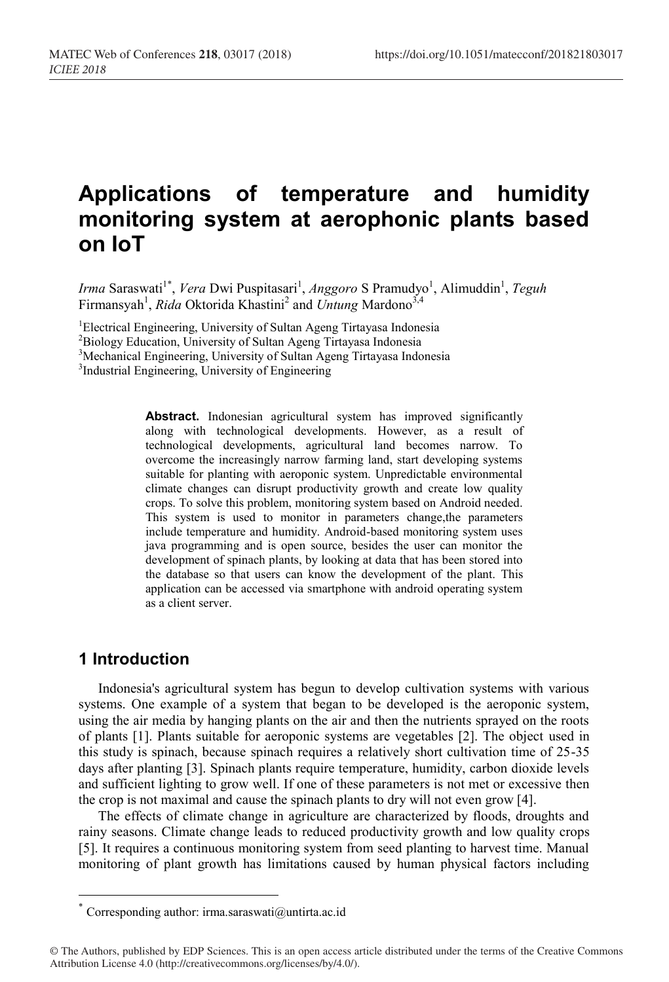# **Applications of temperature and humidity monitoring system at aerophonic plants based on IoT**

Irma Saraswati<sup>1\*</sup>, *Vera* Dwi Puspitasari<sup>1</sup>, *Anggoro* S Pramudyo<sup>1</sup>, Alimuddin<sup>1</sup>, *Teguh* Firmansyah<sup>1</sup>, *Rida* Oktorida Khastini<sup>2</sup> and *Untung* Mardono<sup>3,4</sup>

<sup>1</sup> Electrical Engineering, University of Sultan Ageng Tirtayasa Indonesia<br><sup>2</sup> Biology Education, University of Sultan Ageng Tirtayasa Indonesia

<sup>2</sup>Biology Education, University of Sultan Ageng Tirtayasa Indonesia

<sup>3</sup>Mechanical Engineering, University of Sultan Ageng Tirtayasa Indonesia

<sup>3</sup>Industrial Engineering, University of Engineering

Abstract. Indonesian agricultural system has improved significantly along with technological developments. However, as a result of technological developments, agricultural land becomes narrow. To overcome the increasingly narrow farming land, start developing systems suitable for planting with aeroponic system. Unpredictable environmental climate changes can disrupt productivity growth and create low quality crops. To solve this problem, monitoring system based on Android needed. This system is used to monitor in parameters change,the parameters include temperature and humidity. Android-based monitoring system uses java programming and is open source, besides the user can monitor the development of spinach plants, by looking at data that has been stored into the database so that users can know the development of the plant. This application can be accessed via smartphone with android operating system as a client server.

### **1 Introduction**

Indonesia's agricultural system has begun to develop cultivation systems with various systems. One example of a system that began to be developed is the aeroponic system, using the air media by hanging plants on the air and then the nutrients sprayed on the roots of plants [1]. Plants suitable for aeroponic systems are vegetables [2]. The object used in this study is spinach, because spinach requires a relatively short cultivation time of 25-35 days after planting [3]. Spinach plants require temperature, humidity, carbon dioxide levels and sufficient lighting to grow well. If one of these parameters is not met or excessive then the crop is not maximal and cause the spinach plants to dry will not even grow [4].

The effects of climate change in agriculture are characterized by floods, droughts and rainy seasons. Climate change leads to reduced productivity growth and low quality crops [5]. It requires a continuous monitoring system from seed planting to harvest time. Manual monitoring of plant growth has limitations caused by human physical factors including

<sup>\*</sup> Corresponding author: irma.saraswati@untirta.ac.id

<sup>©</sup> The Authors, published by EDP Sciences. This is an open access article distributed under the terms of the Creative Commons Attribution License 4.0 (http://creativecommons.org/licenses/by/4.0/).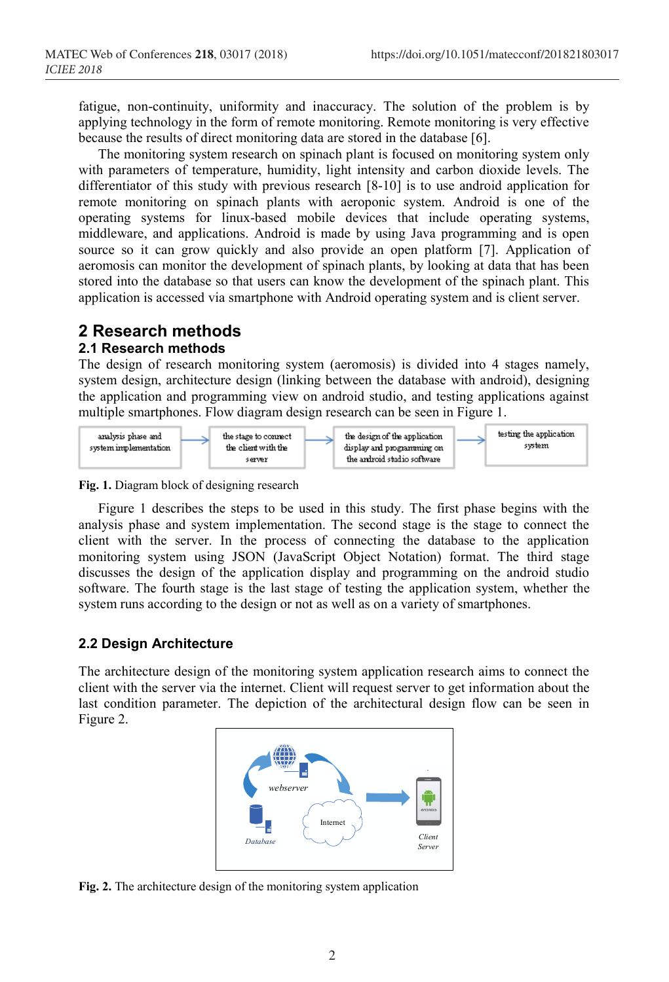fatigue, non-continuity, uniformity and inaccuracy. The solution of the problem is by applying technology in the form of remote monitoring. Remote monitoring is very effective because the results of direct monitoring data are stored in the database [6].

The monitoring system research on spinach plant is focused on monitoring system only with parameters of temperature, humidity, light intensity and carbon dioxide levels. The differentiator of this study with previous research [8-10] is to use android application for remote monitoring on spinach plants with aeroponic system. Android is one of the operating systems for linux-based mobile devices that include operating systems, middleware, and applications. Android is made by using Java programming and is open source so it can grow quickly and also provide an open platform [7]. Application of aeromosis can monitor the development of spinach plants, by looking at data that has been stored into the database so that users can know the development of the spinach plant. This application is accessed via smartphone with Android operating system and is client server.

# **2 Research methods**

#### **2.1 Research methods**

The design of research monitoring system (aeromosis) is divided into 4 stages namely, system design, architecture design (linking between the database with android), designing the application and programming view on android studio, and testing applications against multiple smartphones. Flow diagram design research can be seen in Figure 1.



**Fig. 1.** Diagram block of designing research

Figure 1 describes the steps to be used in this study. The first phase begins with the analysis phase and system implementation. The second stage is the stage to connect the client with the server. In the process of connecting the database to the application monitoring system using JSON (JavaScript Object Notation) format. The third stage discusses the design of the application display and programming on the android studio software. The fourth stage is the last stage of testing the application system, whether the system runs according to the design or not as well as on a variety of smartphones.

#### **2.2 Design Architecture**

The architecture design of the monitoring system application research aims to connect the client with the server via the internet. Client will request server to get information about the last condition parameter. The depiction of the architectural design flow can be seen in Figure 2.



**Fig. 2.** The architecture design of the monitoring system application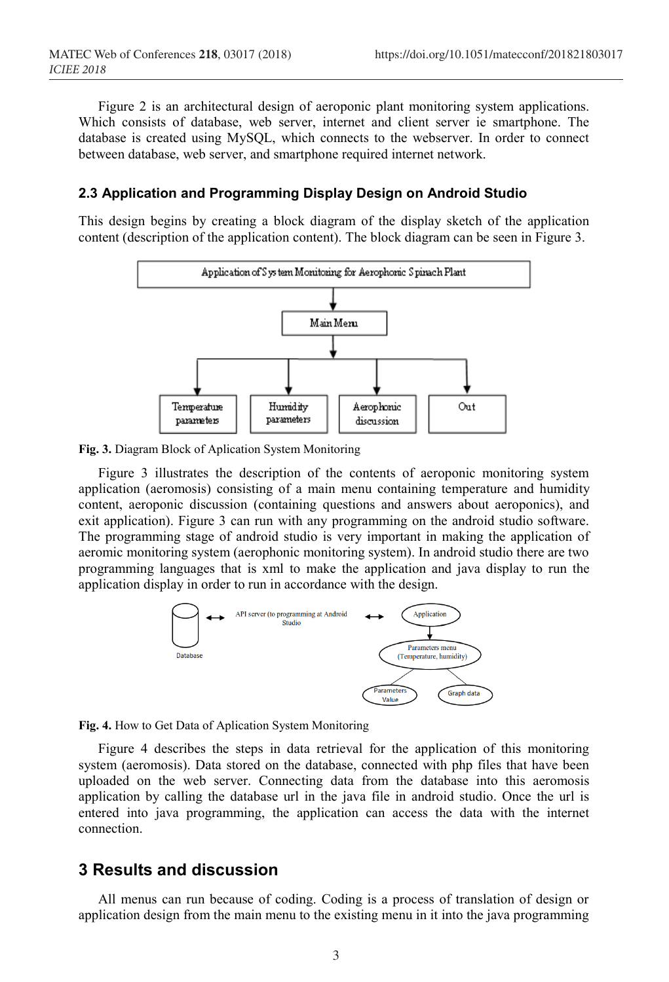Figure 2 is an architectural design of aeroponic plant monitoring system applications. Which consists of database, web server, internet and client server ie smartphone. The database is created using MySQL, which connects to the webserver. In order to connect between database, web server, and smartphone required internet network.

#### **2.3 Application and Programming Display Design on Android Studio**

This design begins by creating a block diagram of the display sketch of the application content (description of the application content). The block diagram can be seen in Figure 3.



**Fig. 3.** Diagram Block of Aplication System Monitoring

Figure 3 illustrates the description of the contents of aeroponic monitoring system application (aeromosis) consisting of a main menu containing temperature and humidity content, aeroponic discussion (containing questions and answers about aeroponics), and exit application). Figure 3 can run with any programming on the android studio software. The programming stage of android studio is very important in making the application of aeromic monitoring system (aerophonic monitoring system). In android studio there are two programming languages that is xml to make the application and java display to run the application display in order to run in accordance with the design.





Figure 4 describes the steps in data retrieval for the application of this monitoring system (aeromosis). Data stored on the database, connected with php files that have been uploaded on the web server. Connecting data from the database into this aeromosis application by calling the database url in the java file in android studio. Once the url is entered into java programming, the application can access the data with the internet connection.

#### **3 Results and discussion**

All menus can run because of coding. Coding is a process of translation of design or application design from the main menu to the existing menu in it into the java programming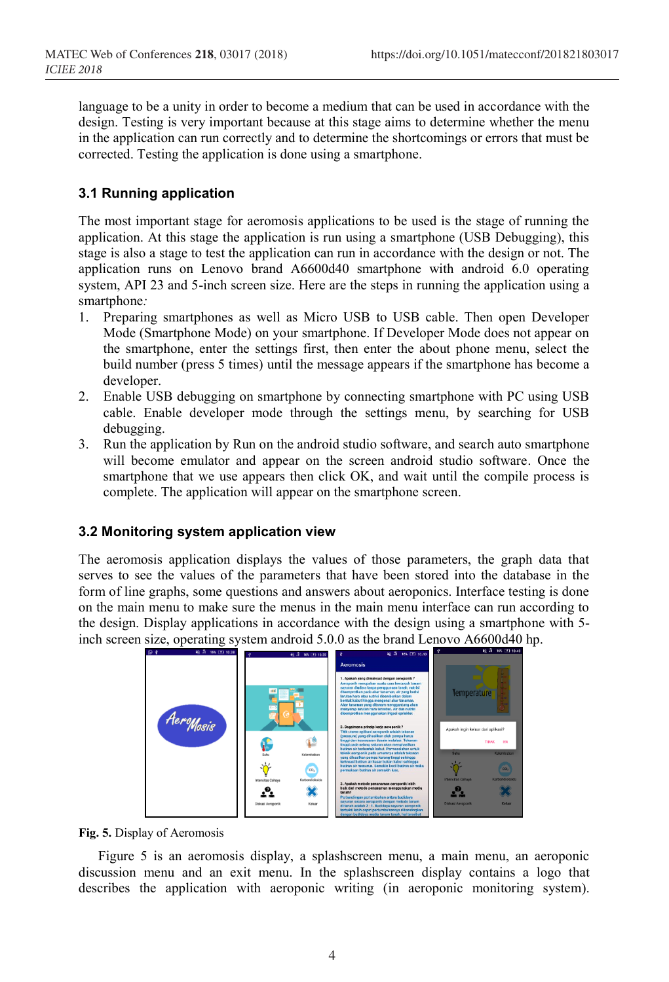language to be a unity in order to become a medium that can be used in accordance with the design. Testing is very important because at this stage aims to determine whether the menu in the application can run correctly and to determine the shortcomings or errors that must be corrected. Testing the application is done using a smartphone.

#### **3.1 Running application**

The most important stage for aeromosis applications to be used is the stage of running the application. At this stage the application is run using a smartphone (USB Debugging), this stage is also a stage to test the application can run in accordance with the design or not. The application runs on Lenovo brand A6600d40 smartphone with android 6.0 operating system, API 23 and 5-inch screen size. Here are the steps in running the application using a smartphone*:*

- 1. Preparing smartphones as well as Micro USB to USB cable. Then open Developer Mode (Smartphone Mode) on your smartphone. If Developer Mode does not appear on the smartphone, enter the settings first, then enter the about phone menu, select the build number (press 5 times) until the message appears if the smartphone has become a developer.
- 2. Enable USB debugging on smartphone by connecting smartphone with PC using USB cable. Enable developer mode through the settings menu, by searching for USB debugging.
- 3. Run the application by Run on the android studio software, and search auto smartphone will become emulator and appear on the screen android studio software. Once the smartphone that we use appears then click OK, and wait until the compile process is complete. The application will appear on the smartphone screen.

#### **3.2 Monitoring system application view**

The aeromosis application displays the values of those parameters, the graph data that serves to see the values of the parameters that have been stored into the database in the form of line graphs, some questions and answers about aeroponics. Interface testing is done on the main menu to make sure the menus in the main menu interface can run according to the design. Display applications in accordance with the design using a smartphone with 5 inch screen size, operating system android 5.0.0 as the brand Lenovo A6600d40 hp.



**Fig. 5.** Display of Aeromosis

Figure 5 is an aeromosis display, a splashscreen menu, a main menu, an aeroponic discussion menu and an exit menu. In the splashscreen display contains a logo that describes the application with aeroponic writing (in aeroponic monitoring system).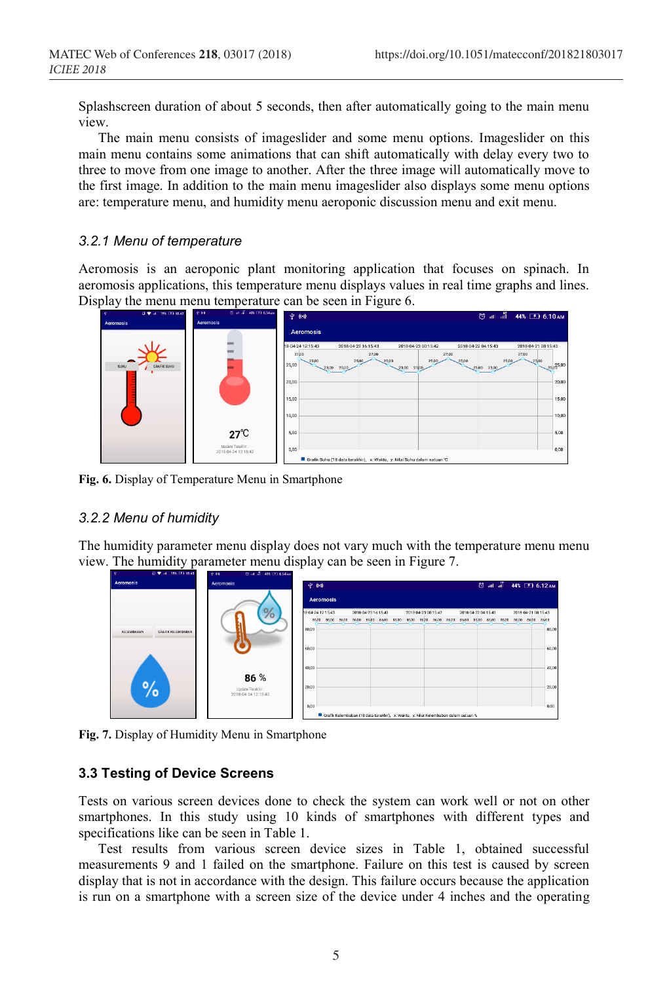Splashscreen duration of about 5 seconds, then after automatically going to the main menu view.

The main menu consists of imageslider and some menu options. Imageslider on this main menu contains some animations that can shift automatically with delay every two to three to move from one image to another. After the three image will automatically move to the first image. In addition to the main menu imageslider also displays some menu options are: temperature menu, and humidity menu aeroponic discussion menu and exit menu.

#### *3.2.1 Menu of temperature*

Aeromosis is an aeroponic plant monitoring application that focuses on spinach. In aeromosis applications, this temperature menu displays values in real time graphs and lines. Display the menu menu temperature can be seen in Figure 6.



**Fig. 6.** Display of Temperature Menu in Smartphone

#### *3.2.2 Menu of humidity*

The humidity parameter menu display does not vary much with the temperature menu menu view. The humidity parameter menu display can be seen in Figure 7.





#### **3.3 Testing of Device Screens**

Tests on various screen devices done to check the system can work well or not on other smartphones. In this study using 10 kinds of smartphones with different types and specifications like can be seen in Table 1.

Test results from various screen device sizes in Table 1, obtained successful measurements 9 and 1 failed on the smartphone. Failure on this test is caused by screen display that is not in accordance with the design. This failure occurs because the application is run on a smartphone with a screen size of the device under 4 inches and the operating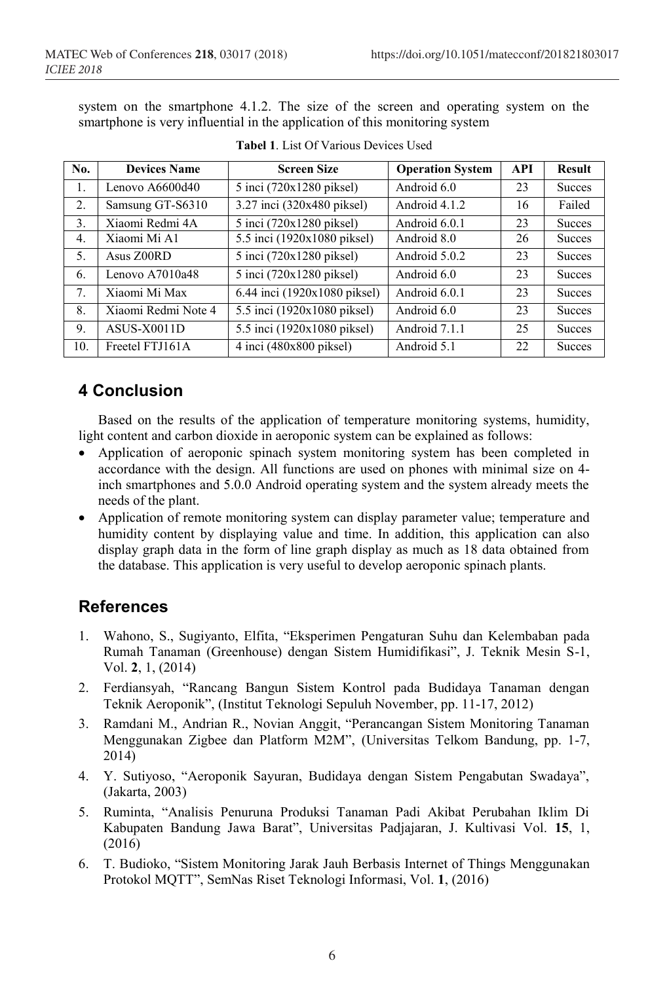system on the smartphone 4.1.2. The size of the screen and operating system on the smartphone is very influential in the application of this monitoring system

| No.              | <b>Devices Name</b> | <b>Screen Size</b>                    | <b>Operation System</b> | <b>API</b> | <b>Result</b> |
|------------------|---------------------|---------------------------------------|-------------------------|------------|---------------|
| 1.               | Lenovo A6600d40     | 5 inci (720x1280 piksel)              | Android 6.0             | 23         | <b>Succes</b> |
| 2.               | Samsung GT-S6310    | 3.27 inci (320x480 piksel)            | Android 4.1.2           | 16         | Failed        |
| 3.               | Xiaomi Redmi 4A     | 5 inci (720x1280 piksel)              | Android 6.0.1           | 23         | <b>Succes</b> |
| $\overline{4}$ . | Xiaomi Mi A1        | 5.5 inci (1920x1080 piksel)           | Android 8.0             | 26         | <b>Succes</b> |
| 5.               | Asus Z00RD          | $\overline{5}$ inci (720x1280 piksel) | Android 5.0.2           | 23         | <b>Succes</b> |
| 6.               | Lenovo $A7010a48$   | 5 inci (720x1280 piksel)              | Android 6.0             | 23         | <b>Succes</b> |
| 7 <sub>1</sub>   | Xiaomi Mi Max       | 6.44 inci (1920x1080 piksel)          | Android 6.0.1           | 23         | <b>Succes</b> |
| 8.               | Xiaomi Redmi Note 4 | 5.5 inci (1920x1080 piksel)           | Android 6.0             | 23         | <b>Succes</b> |
| 9.               | ASUS-X0011D         | 5.5 inci (1920x1080 piksel)           | Android 7.1.1           | 25         | <b>Succes</b> |
| 10.              | Freetel FTJ161A     | $4$ inci (480x800 piksel)             | Android 5.1             | 22         | <b>Succes</b> |

#### **Tabel 1**. List Of Various Devices Used

## **4 Conclusion**

Based on the results of the application of temperature monitoring systems, humidity, light content and carbon dioxide in aeroponic system can be explained as follows:

- Application of aeroponic spinach system monitoring system has been completed in accordance with the design. All functions are used on phones with minimal size on 4 inch smartphones and 5.0.0 Android operating system and the system already meets the needs of the plant.
- Application of remote monitoring system can display parameter value; temperature and humidity content by displaying value and time. In addition, this application can also display graph data in the form of line graph display as much as 18 data obtained from the database. This application is very useful to develop aeroponic spinach plants.

### **References**

- 1. Wahono, S., Sugiyanto, Elfita, "Eksperimen Pengaturan Suhu dan Kelembaban pada Rumah Tanaman (Greenhouse) dengan Sistem Humidifikasi", J. Teknik Mesin S-1, Vol. **2**, 1, (2014)
- 2. Ferdiansyah, "Rancang Bangun Sistem Kontrol pada Budidaya Tanaman dengan Teknik Aeroponik", (Institut Teknologi Sepuluh November, pp. 11-17, 2012)
- 3. Ramdani M., Andrian R., Novian Anggit, "Perancangan Sistem Monitoring Tanaman Menggunakan Zigbee dan Platform M2M", (Universitas Telkom Bandung, pp. 1-7, 2014)
- 4. Y. Sutiyoso, "Aeroponik Sayuran, Budidaya dengan Sistem Pengabutan Swadaya", (Jakarta, 2003)
- 5. Ruminta, "Analisis Penuruna Produksi Tanaman Padi Akibat Perubahan Iklim Di Kabupaten Bandung Jawa Barat", Universitas Padjajaran, J. Kultivasi Vol. **15**, 1, (2016)
- 6. T. Budioko, "Sistem Monitoring Jarak Jauh Berbasis Internet of Things Menggunakan Protokol MQTT", SemNas Riset Teknologi Informasi, Vol. **1**, (2016)